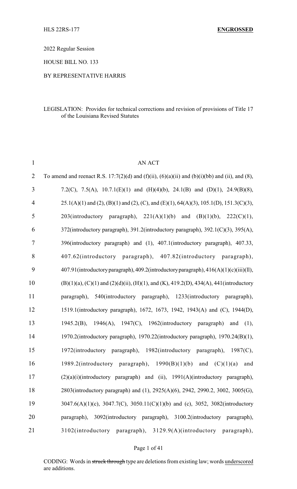2022 Regular Session

HOUSE BILL NO. 133

#### BY REPRESENTATIVE HARRIS

#### LEGISLATION: Provides for technical corrections and revision of provisions of Title 17 of the Louisiana Revised Statutes

| $\mathbf{1}$   | <b>AN ACT</b>                                                                                       |
|----------------|-----------------------------------------------------------------------------------------------------|
| $\overline{2}$ | To amend and reenact R.S. 17:7(2)(d) and (f)(ii), (6)(a)(ii) and (b)(i)(bb) and (ii), and (8),      |
| 3              | 7.2(C), 7.5(A), 10.7.1(E)(1) and (H)(4)(b), 24.1(B) and (D)(1), 24.9(B)(8),                         |
| $\overline{4}$ | 25.1(A)(1) and (2), (B)(1) and (2), (C), and (E)(1), 64(A)(3), 105.1(D), 151.3(C)(3),               |
| 5              | $203(introductory \quad paragraph), \quad 221(A)(1)(b) \quad and$<br>(B)(1)(b), 222(C)(1),          |
| 6              | 372(introductory paragraph), 391.2(introductory paragraph), 392.1(C)(3), 395(A),                    |
| 7              | 396(introductory paragraph) and (1), 407.1(introductory paragraph), 407.33,                         |
| 8              | 407.62(introductory paragraph), 407.82(introductory paragraph),                                     |
| 9              | 407.91(introductory paragraph), 409.2(introductory paragraph), 416(A)(1)(c)(iii)(ll),               |
| 10             | $(B)(1)(a)$ , $(C)(1)$ and $(2)(d)(ii)$ , $(H)(1)$ , and $(K)$ , 419.2(D), 434(A), 441(introductory |
| 11             | paragraph), 540(introductory paragraph), 1233(introductory paragraph),                              |
| 12             | 1519.1(introductory paragraph), 1672, 1673, 1942, 1943(A) and (C), 1944(D),                         |
| 13             | 1945.2(B), 1946(A), 1947(C), 1962(introductory paragraph) and<br>(1),                               |
| 14             | 1970.2(introductory paragraph), 1970.22(introductory paragraph), 1970.24(B)(1),                     |
| 15             | 1972(introductory paragraph), 1982(introductory paragraph), 1987(C),                                |
| 16             | 1989.2(introductory paragraph),<br>1990(B)(1)(b)<br>(C)(1)(a)<br>and<br>and                         |
| 17             | $(2)(a)(i)$ (introductory paragraph) and (ii), $1991(A)$ (introductory paragraph),                  |
| 18             | 2803(introductory paragraph) and (1), 2925(A)(6), 2942, 2990.2, 3002, 3005(G),                      |
| 19             | 3047.6(A)(1)(c), 3047.7(C), 3050.11(C)(1)(b) and (c), 3052, 3082(introductory                       |
| 20             | paragraph), 3092(introductory paragraph), 3100.2(introductory paragraph),                           |
| 21             | 3102(introductory paragraph), 3129.9(A)(introductory paragraph),                                    |

#### Page 1 of 41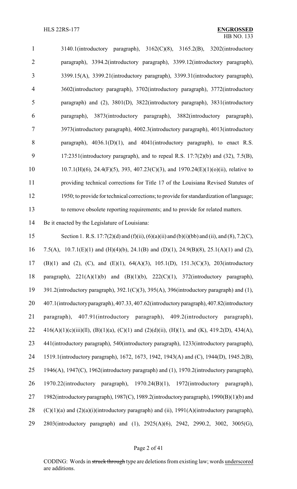| $\mathbf{1}$   | 3140.1(introductory paragraph), 3162(C)(8), 3165.2(B), 3202(introductory                 |
|----------------|------------------------------------------------------------------------------------------|
| $\overline{2}$ | paragraph), 3394.2(introductory paragraph), 3399.12(introductory paragraph),             |
| 3              | 3399.15(A), 3399.21(introductory paragraph), 3399.31(introductory paragraph),            |
| $\overline{4}$ | 3602(introductory paragraph), 3702(introductory paragraph), 3772(introductory            |
| 5              | paragraph) and (2), 3801(D), 3822(introductory paragraph), 3831(introductory             |
| 6              | 3873(introductory paragraph), 3882(introductory paragraph),<br>paragraph),               |
| 7              | 3973(introductory paragraph), 4002.3(introductory paragraph), 4013(introductory          |
| 8              | paragraph), $4036.1(D)(1)$ , and $4041$ (introductory paragraph), to enact R.S.          |
| 9              | 17:2351(introductory paragraph), and to repeal R.S. $17:7(2)(b)$ and $(32)$ , $7.5(B)$ , |
| 10             | $10.7.1(H)(6)$ , 24.4(F)(5), 393, 407.23(C)(3), and 1970.24(E)(1)(o)(ii), relative to    |
| 11             | providing technical corrections for Title 17 of the Louisiana Revised Statutes of        |
| 12             | 1950; to provide for technical corrections; to provide for standardization of language;  |
| 13             | to remove obsolete reporting requirements; and to provide for related matters.           |

Be it enacted by the Legislature of Louisiana:

 Section 1. R.S. 17:7(2)(d) and (f)(ii), (6)(a)(ii) and (b)(i)(bb) and (ii), and (8), 7.2(C), 7.5(A), 10.7.1(E)(1) and (H)(4)(b), 24.1(B) and (D)(1), 24.9(B)(8), 25.1(A)(1) and (2), (B)(1) and (2), (C), and (E)(1), 64(A)(3), 105.1(D), 151.3(C)(3), 203(introductory paragraph), 221(A)(1)(b) and (B)(1)(b), 222(C)(1), 372(introductory paragraph), 391.2(introductory paragraph), 392.1(C)(3), 395(A), 396(introductory paragraph) and (1), 407.1(introductoryparagraph), 407.33, 407.62(introductoryparagraph), 407.82(introductory paragraph), 407.91(introductory paragraph), 409.2(introductory paragraph), 22 416(A)(1)(c)(iii)(ll), (B)(1)(a), (C)(1) and (2)(d)(ii), (H)(1), and (K), 419.2(D), 434(A), 441(introductory paragraph), 540(introductory paragraph), 1233(introductory paragraph), 1519.1(introductory paragraph), 1672, 1673, 1942, 1943(A) and (C), 1944(D), 1945.2(B), 1946(A), 1947(C), 1962(introductory paragraph) and (1), 1970.2(introductory paragraph), 1970.22(introductory paragraph), 1970.24(B)(1), 1972(introductory paragraph), 1982(introductory paragraph), 1987(C), 1989.2(introductory paragraph), 1990(B)(1)(b) and 28 (C)(1)(a) and (2)(a)(i)(introductory paragraph) and (ii),  $1991(A)$ (introductory paragraph), 2803(introductory paragraph) and (1), 2925(A)(6), 2942, 2990.2, 3002, 3005(G),

#### Page 2 of 41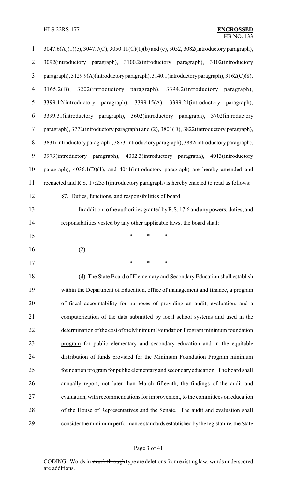| $\mathbf{1}$   | 3047.6(A)(1)(c), 3047.7(C), 3050.11(C)(1)(b) and (c), 3052, 3082(introductory paragraph),  |
|----------------|--------------------------------------------------------------------------------------------|
| $\overline{2}$ | 3092(introductory paragraph), 3100.2(introductory paragraph),<br>3102(introductory         |
| $\mathfrak{Z}$ | paragraph), 3129.9(A)(introductory paragraph), 3140.1(introductory paragraph), 3162(C)(8), |
| $\overline{4}$ | 3165.2(B), 3202(introductory paragraph), 3394.2(introductory paragraph),                   |
| 5              | 3399.12(introductory paragraph), 3399.15(A), 3399.21(introductory paragraph),              |
| 6              | 3399.31(introductory paragraph), 3602(introductory paragraph), 3702(introductory           |
| $\tau$         | paragraph), 3772(introductory paragraph) and (2), 3801(D), 3822(introductory paragraph),   |
| $8\,$          | 3831(introductory paragraph), 3873(introductory paragraph), 3882(introductory paragraph),  |
| 9              | 3973(introductory paragraph), 4002.3(introductory paragraph), 4013(introductory            |
| 10             | paragraph), $4036.1(D)(1)$ , and $4041$ (introductory paragraph) are hereby amended and    |
| 11             | reenacted and R.S. 17:2351(introductory paragraph) is hereby enacted to read as follows:   |
| 12             | §7. Duties, functions, and responsibilities of board                                       |
| 13             | In addition to the authorities granted by R.S. 17:6 and any powers, duties, and            |
| 14             | responsibilities vested by any other applicable laws, the board shall:                     |
| 15             | $\ast$<br>$\ast$<br>$\ast$                                                                 |
| 16             | (2)                                                                                        |
| 17             |                                                                                            |
| 18             | (d) The State Board of Elementary and Secondary Education shall establish                  |
| 19             | within the Department of Education, office of management and finance, a program            |
| 20             |                                                                                            |
| 21             | of fiscal accountability for purposes of providing an audit, evaluation, and a             |
|                | computerization of the data submitted by local school systems and used in the              |
| 22             | determination of the cost of the Minimum Foundation Program minimum foundation             |
| 23             | program for public elementary and secondary education and in the equitable                 |
| 24             | distribution of funds provided for the Minimum Foundation Program minimum                  |
| 25             | foundation program for public elementary and secondary education. The board shall          |
| 26             | annually report, not later than March fifteenth, the findings of the audit and             |
| 27             | evaluation, with recommendations for improvement, to the committees on education           |
| 28             | of the House of Representatives and the Senate. The audit and evaluation shall             |

# Page 3 of 41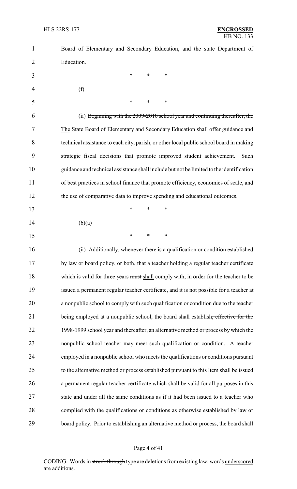| $\mathbf{1}$ | Board of Elementary and Secondary Education, and the state Department of                       |
|--------------|------------------------------------------------------------------------------------------------|
| 2            | Education.                                                                                     |
| 3            | $\ast$<br>∗<br>$\ast$                                                                          |
| 4            | (f)                                                                                            |
| 5            | $\ast$<br>*<br>∗                                                                               |
| 6            | (ii) Beginning with the 2009-2010 school year and continuing thereafter, the                   |
| 7            | The State Board of Elementary and Secondary Education shall offer guidance and                 |
| 8            | technical assistance to each city, parish, or other local public school board in making        |
| 9            | strategic fiscal decisions that promote improved student achievement.<br>Such                  |
| 10           | guidance and technical assistance shall include but not be limited to the identification       |
| 11           | of best practices in school finance that promote efficiency, economies of scale, and           |
| 12           | the use of comparative data to improve spending and educational outcomes.                      |
| 13           | $\ast$<br>∗<br>$\ast$                                                                          |
| 14           | (6)(a)                                                                                         |
| 15           | $\ast$<br>$\ast$<br>*                                                                          |
| 16           | (ii) Additionally, whenever there is a qualification or condition established                  |
| 17           | by law or board policy, or both, that a teacher holding a regular teacher certificate          |
| 18           | which is valid for three years must shall comply with, in order for the teacher to be          |
| 19           | issued a permanent regular teacher certificate, and it is not possible for a teacher at        |
| 20           | a nonpublic school to comply with such qualification or condition due to the teacher           |
| 21           | being employed at a nonpublic school, the board shall establish <del>, effective for the</del> |
| 22           | 1998-1999 school year and thereafter, an alternative method or process by which the            |
| 23           | nonpublic school teacher may meet such qualification or condition. A teacher                   |
| 24           | employed in a nonpublic school who meets the qualifications or conditions pursuant             |
| 25           | to the alternative method or process established pursuant to this Item shall be issued         |
| 26           | a permanent regular teacher certificate which shall be valid for all purposes in this          |
| 27           | state and under all the same conditions as if it had been issued to a teacher who              |
| 28           | complied with the qualifications or conditions as otherwise established by law or              |
| 29           | board policy. Prior to establishing an alternative method or process, the board shall          |

# Page 4 of 41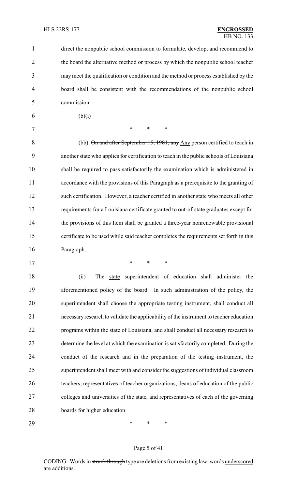direct the nonpublic school commission to formulate, develop, and recommend to the board the alternative method or process by which the nonpublic school teacher may meet the qualification or condition and the method or process established by the board shall be consistent with the recommendations of the nonpublic school commission.

6 (b)(i)

7 \* \* \* \*

8 (bb) On and after September 15, 1981, any Any person certified to teach in another state who applies for certification to teach in the public schools of Louisiana shall be required to pass satisfactorily the examination which is administered in accordance with the provisions of this Paragraph as a prerequisite to the granting of such certification. However, a teacher certified in another state who meets all other requirements for a Louisiana certificate granted to out-of-state graduates except for the provisions of this Item shall be granted a three-year nonrenewable provisional certificate to be used while said teacher completes the requirements set forth in this Paragraph.

\* \* \*

18 (ii) The state superintendent of education shall administer the aforementioned policy of the board. In such administration of the policy, the superintendent shall choose the appropriate testing instrument, shall conduct all necessaryresearch to validate the applicability of the instrument to teacher education programs within the state of Louisiana, and shall conduct all necessary research to determine the level at which the examination is satisfactorily completed. During the conduct of the research and in the preparation of the testing instrument, the superintendent shall meet with and consider the suggestions of individual classroom teachers, representatives of teacher organizations, deans of education of the public colleges and universities of the state, and representatives of each of the governing boards for higher education.

\* \* \*

#### Page 5 of 41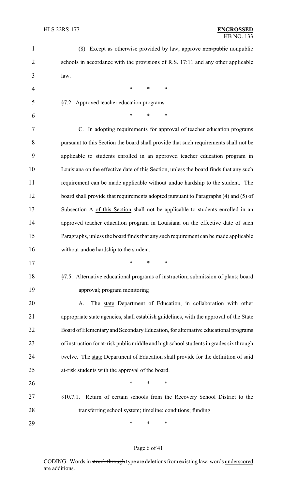| 1              | (8) Except as otherwise provided by law, approve non-public nonpublic                   |
|----------------|-----------------------------------------------------------------------------------------|
| $\overline{2}$ | schools in accordance with the provisions of R.S. 17:11 and any other applicable        |
| 3              | law.                                                                                    |
| $\overline{4}$ | $\ast$<br>∗<br>∗                                                                        |
| 5              | §7.2. Approved teacher education programs                                               |
| 6              | $\ast$<br>*<br>∗                                                                        |
| 7              | C. In adopting requirements for approval of teacher education programs                  |
| 8              | pursuant to this Section the board shall provide that such requirements shall not be    |
| 9              | applicable to students enrolled in an approved teacher education program in             |
| 10             | Louisiana on the effective date of this Section, unless the board finds that any such   |
| 11             | requirement can be made applicable without undue hardship to the student. The           |
| 12             | board shall provide that requirements adopted pursuant to Paragraphs (4) and (5) of     |
| 13             | Subsection A of this Section shall not be applicable to students enrolled in an         |
| 14             | approved teacher education program in Louisiana on the effective date of such           |
| 15             | Paragraphs, unless the board finds that any such requirement can be made applicable     |
| 16             | without undue hardship to the student.                                                  |
| 17             | ∗<br>∗<br>∗                                                                             |
| 18             | §7.5. Alternative educational programs of instruction; submission of plans; board       |
| 19             | approval; program monitoring                                                            |
| 20             | The state Department of Education, in collaboration with other<br>A.                    |
| 21             | appropriate state agencies, shall establish guidelines, with the approval of the State  |
| 22             | Board of Elementary and Secondary Education, for alternative educational programs       |
| 23             | of instruction for at-risk public middle and high school students in grades six through |
| 24             | twelve. The state Department of Education shall provide for the definition of said      |
| 25             | at-risk students with the approval of the board.                                        |
| 26             | ∗<br>*<br>∗                                                                             |
| 27             | Return of certain schools from the Recovery School District to the<br>§10.7.1.          |
| 28             | transferring school system; timeline; conditions; funding                               |
| 29             | ∗<br>∗<br>∗                                                                             |

# Page 6 of 41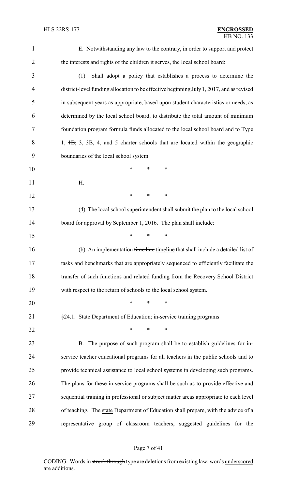E. Notwithstanding any law to the contrary, in order to support and protect the interests and rights of the children it serves, the local school board:

 (1) Shall adopt a policy that establishes a process to determine the district-level funding allocation to be effective beginning July 1, 2017, and as revised in subsequent years as appropriate, based upon student characteristics or needs, as determined by the local school board, to distribute the total amount of minimum foundation program formula funds allocated to the local school board and to Type 8 1, <del>1B,</del> 3, 3B, 4, and 5 charter schools that are located within the geographic boundaries of the local school system. \* \* \* H. **\*** \* \* \* (4) The local school superintendent shall submit the plan to the local school 14 board for approval by September 1, 2016. The plan shall include: \* \* \* 16 (b) An implementation time line timeline that shall include a detailed list of tasks and benchmarks that are appropriately sequenced to efficiently facilitate the

 transfer of such functions and related funding from the Recovery School District with respect to the return of schools to the local school system.

\* \* \*

§24.1. State Department of Education; in-service training programs

**\*** \* \* \*

 B. The purpose of such program shall be to establish guidelines for in- service teacher educational programs for all teachers in the public schools and to provide technical assistance to local school systems in developing such programs. The plans for these in-service programs shall be such as to provide effective and sequential training in professional or subject matter areas appropriate to each level of teaching. The state Department of Education shall prepare, with the advice of a representative group of classroom teachers, suggested guidelines for the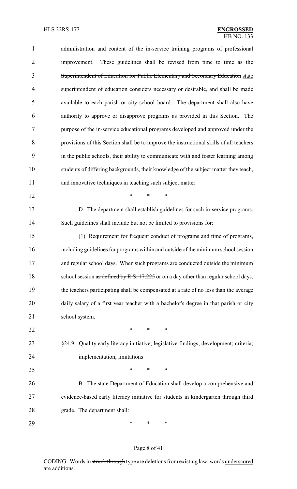| $\mathbf{1}$   | administration and content of the in-service training programs of professional          |
|----------------|-----------------------------------------------------------------------------------------|
| $\overline{2}$ | These guidelines shall be revised from time to time as the<br>improvement.              |
| 3              | Superintendent of Education for Public Elementary and Secondary Education state         |
| 4              | superintendent of education considers necessary or desirable, and shall be made         |
| 5              | available to each parish or city school board. The department shall also have           |
| 6              | authority to approve or disapprove programs as provided in this Section. The            |
| 7              | purpose of the in-service educational programs developed and approved under the         |
| 8              | provisions of this Section shall be to improve the instructional skills of all teachers |
| 9              | in the public schools, their ability to communicate with and foster learning among      |
| 10             | students of differing backgrounds, their knowledge of the subject matter they teach,    |
| 11             | and innovative techniques in teaching such subject matter.                              |
| 12             | *<br>$\ast$<br>*                                                                        |
| 13             | D. The department shall establish guidelines for such in-service programs.              |
| 14             | Such guidelines shall include but not be limited to provisions for:                     |
| 15             | (1) Requirement for frequent conduct of programs and time of programs,                  |
| 16             | including guidelines for programs within and outside of the minimum school session      |
| 17             | and regular school days. When such programs are conducted outside the minimum           |
| 18             | school session as defined by R.S. 17:225 or on a day other than regular school days,    |
| 19             | the teachers participating shall be compensated at a rate of no less than the average   |
| 20             | daily salary of a first year teacher with a bachelor's degree in that parish or city    |
| 21             | school system.                                                                          |
| 22             | $\ast$<br>$\ast$<br>$\ast$                                                              |
| 23             | §24.9. Quality early literacy initiative; legislative findings; development; criteria;  |
| 24             | implementation; limitations                                                             |
| 25             | $\ast$<br>∗<br>*                                                                        |
| 26             | B. The state Department of Education shall develop a comprehensive and                  |
| 27             | evidence-based early literacy initiative for students in kindergarten through third     |
| 28             | grade. The department shall:                                                            |
| 29             | ∗<br>∗<br>∗                                                                             |

# Page 8 of 41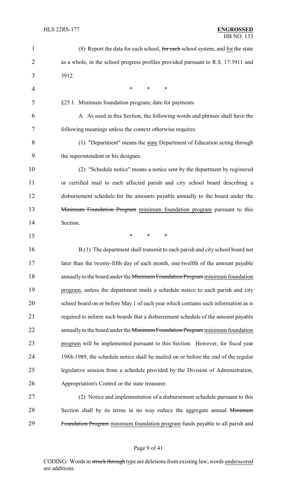| $\mathbf{1}$   | (8) Report the data for each school, for each school system, and for the state     |
|----------------|------------------------------------------------------------------------------------|
| $\overline{2}$ | as a whole, in the school progress profiles provided pursuant to R.S. 17:3911 and  |
| 3              | 3912.                                                                              |
| 4              | $\ast$<br>$\ast$<br>∗                                                              |
| 5              | §25.1. Minimum foundation program; date for payments                               |
| 6              | A. As used in this Section, the following words and phrases shall have the         |
| 7              | following meanings unless the context otherwise requires:                          |
| 8              | (1) "Department" means the state Department of Education acting through            |
| 9              | the superintendent or his designee.                                                |
| 10             | (2) "Schedule notice" means a notice sent by the department by registered          |
| 11             | or certified mail to each affected parish and city school board describing a       |
| 12             | disbursement schedule for the amounts payable annually to the board under the      |
| 13             | Minimum Foundation Program minimum foundation program pursuant to this             |
| 14             | Section.                                                                           |
| 15             | $\ast$<br>$\ast$<br>∗                                                              |
| 16             | B.(1) The department shall transmit to each parish and city school board not       |
| 17             | later than the twenty-fifth day of each month, one-twelfth of the amount payable   |
| 18             | annually to the board under the Minimum Foundation Program minimum foundation      |
| 19             | program, unless the department mails a schedule notice to each parish and city     |
| 20             | school board on or before May 1 of each year which contains such information as is |
| 21             | required to inform such boards that a disbursement schedule of the amount payable  |
| 22             | annually to the board under the Minimum Foundation Program minimum foundation      |
| 23             | program will be implemented pursuant to this Section. However, for fiscal year     |
| 24             | 1988-1989, the schedule notice shall be mailed on or before the end of the regular |
| 25             | legislative session from a schedule provided by the Division of Administration,    |
| 26             | Appropriation's Control or the state treasurer.                                    |
| 27             | (2) Notice and implementation of a disbursement schedule pursuant to this          |
| 28             | Section shall by its terms in no way reduce the aggregate annual Minimum           |
| 29             | Foundation Program minimum foundation program funds payable to all parish and      |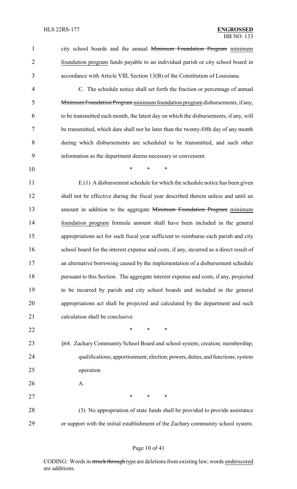1 city school boards and the annual Minimum Foundation Program minimum foundation program funds payable to an individual parish or city school board in accordance with Article VIII, Section 13(B) of the Constitution of Louisiana.

 C. The schedule notice shall set forth the fraction or percentage of annual Minimum Foundation Program minimumfoundation program disbursements, if any, to be transmitted each month, the latest day on which the disbursements, if any, will be transmitted, which date shall not be later than the twenty-fifth day of any month during which disbursements are scheduled to be transmitted, and such other information as the department deems necessary or convenient.

\* \* \*

 E.(1) A disbursement schedule for which the schedule notice has been given shall not be effective during the fiscal year described therein unless and until an 13 amount in addition to the aggregate Minimum Foundation Program minimum foundation program formula amount shall have been included in the general appropriations act for such fiscal year sufficient to reimburse each parish and city school board for the interest expense and costs, if any, incurred as a direct result of an alternative borrowing caused by the implementation of a disbursement schedule pursuant to this Section. The aggregate interest expense and costs, if any, projected to be incurred by parish and city school boards and included in the general appropriations act shall be projected and calculated by the department and such 21 calculation shall be conclusive.

- **\*** \* \* \*
- §64. Zachary Community School Board and school system; creation; membership; qualifications; apportionment; election; powers, duties, and functions; system operation
- A.

27 \* \* \* \* 28 (3) No appropriation of state funds shall be provided to provide assistance

or support with the initial establishment of the Zachary community school system.

#### Page 10 of 41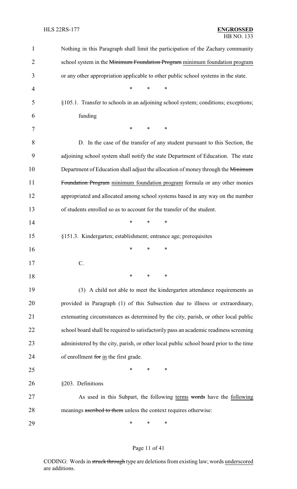| 1              | Nothing in this Paragraph shall limit the participation of the Zachary community       |
|----------------|----------------------------------------------------------------------------------------|
| $\overline{c}$ | school system in the Minimum Foundation Program minimum foundation program             |
| 3              | or any other appropriation applicable to other public school systems in the state.     |
| 4              | $\ast$<br>*<br>$\ast$                                                                  |
| 5              | §105.1. Transfer to schools in an adjoining school system; conditions; exceptions;     |
| 6              | funding                                                                                |
| 7              | *<br>*<br>∗                                                                            |
| 8              | D. In the case of the transfer of any student pursuant to this Section, the            |
| 9              | adjoining school system shall notify the state Department of Education. The state      |
| 10             | Department of Education shall adjust the allocation of money through the Minimum       |
| 11             | Foundation Program minimum foundation program formula or any other monies              |
| 12             | appropriated and allocated among school systems based in any way on the number         |
| 13             | of students enrolled so as to account for the transfer of the student.                 |
| 14             | $\ast$<br>∗<br>∗                                                                       |
| 15             | §151.3. Kindergarten; establishment; entrance age; prerequisites                       |
| 16             | ∗<br>*<br>∗                                                                            |
| 17             | $\mathcal{C}$ .                                                                        |
| 18             | ∗<br>*<br>∗                                                                            |
| 19             | (3) A child not able to meet the kindergarten attendance requirements as               |
| 20             | provided in Paragraph (1) of this Subsection due to illness or extraordinary,          |
| 21             | extenuating circumstances as determined by the city, parish, or other local public     |
| 22             | school board shall be required to satisfactorily pass an academic readiness screening  |
| 23             | administered by the city, parish, or other local public school board prior to the time |
| 24             | of enrollment for in the first grade.                                                  |
| 25             | ∗<br>*<br>∗                                                                            |
| 26             | §203. Definitions                                                                      |
| 27             | As used in this Subpart, the following terms words have the following                  |
| 28             | meanings ascribed to them unless the context requires otherwise:                       |
| 29             | ∗<br>∗<br>∗                                                                            |

# Page 11 of 41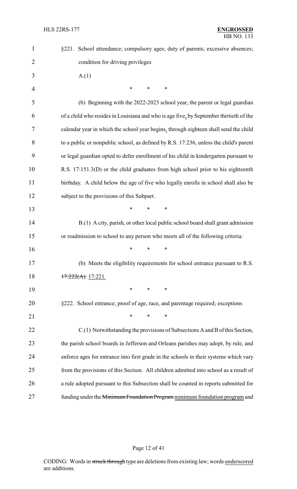| $\mathbf{1}$   | §221. School attendance; compulsory ages; duty of parents; excessive absences;         |
|----------------|----------------------------------------------------------------------------------------|
| $\overline{2}$ | condition for driving privileges                                                       |
| 3              | A(1)                                                                                   |
| $\overline{4}$ | *<br>*<br>∗                                                                            |
| 5              | (b) Beginning with the 2022-2023 school year, the parent or legal guardian             |
| 6              | of a child who resides in Louisiana and who is age five, by September thirtieth of the |
| 7              | calendar year in which the school year begins, through eighteen shall send the child   |
| 8              | to a public or nonpublic school, as defined by R.S. 17:236, unless the child's parent  |
| 9              | or legal guardian opted to defer enrollment of his child in kindergarten pursuant to   |
| 10             | R.S. 17:151.3(D) or the child graduates from high school prior to his eighteenth       |
| 11             | birthday. A child below the age of five who legally enrolls in school shall also be    |
| 12             | subject to the provisions of this Subpart.                                             |
| 13             | *<br>$\ast$<br>∗                                                                       |
| 14             | B.(1) A city, parish, or other local public school board shall grant admission         |
| 15             | or readmission to school to any person who meets all of the following criteria:        |
| 16             | ∗<br>∗<br>∗                                                                            |
| 17             | (b) Meets the eligibility requirements for school entrance pursuant to R.S.            |
| 18             | $17:222(A)$ , $17:221$ .                                                               |
| 19             | *<br>$\ast$<br>∗                                                                       |
| 20             | §222. School entrance; proof of age, race, and parentage required; exceptions          |
| 21             | $\ast$<br>$\ast$<br>∗                                                                  |
| 22             | C.(1) Notwithstanding the provisions of Subsections A and B of this Section,           |
| 23             | the parish school boards in Jefferson and Orleans parishes may adopt, by rule, and     |
| 24             | enforce ages for entrance into first grade in the schools in their systems which vary  |
| 25             | from the provisions of this Section. All children admitted into school as a result of  |
| 26             | a rule adopted pursuant to this Subsection shall be counted in reports submitted for   |
| 27             | funding under the Minimum Foundation Program minimum foundation program and            |

# Page 12 of 41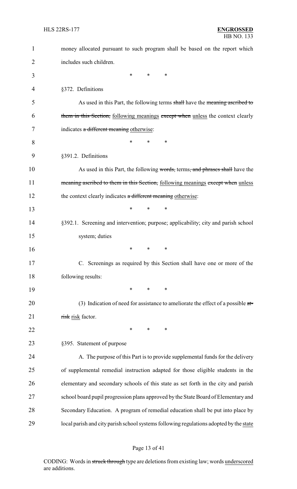| $\mathbf{1}$ | money allocated pursuant to such program shall be based on the report which            |
|--------------|----------------------------------------------------------------------------------------|
| 2            | includes such children.                                                                |
| 3            | $\ast$<br>∗<br>∗                                                                       |
| 4            | §372. Definitions                                                                      |
| 5            | As used in this Part, the following terms shall have the meaning ascribed to           |
| 6            | them in this Section, following meanings except when unless the context clearly        |
| 7            | indicates a different meaning otherwise:                                               |
| 8            | *<br>*<br>∗                                                                            |
| 9            | §391.2. Definitions                                                                    |
| 10           | As used in this Part, the following words, terms, and phrases shall have the           |
| 11           | meaning ascribed to them in this Section, following meanings except when unless        |
| 12           | the context clearly indicates a different meaning otherwise:                           |
| 13           | *<br>∗<br>*                                                                            |
| 14           | §392.1. Screening and intervention; purpose; applicability; city and parish school     |
| 15           | system; duties                                                                         |
| 16           | ∗<br>∗<br>*                                                                            |
| 17           | C. Screenings as required by this Section shall have one or more of the                |
| 18           | following results:                                                                     |
| 19           | $\ast$<br>$\ast$<br>*                                                                  |
| 20           | (3) Indication of need for assistance to ameliorate the effect of a possible $a t =$   |
| 21           | risk risk factor.                                                                      |
| 22           | *<br>$\ast$<br>∗                                                                       |
| 23           | §395. Statement of purpose                                                             |
| 24           | A. The purpose of this Part is to provide supplemental funds for the delivery          |
| 25           | of supplemental remedial instruction adapted for those eligible students in the        |
| 26           | elementary and secondary schools of this state as set forth in the city and parish     |
| 27           | school board pupil progression plans approved by the State Board of Elementary and     |
| 28           | Secondary Education. A program of remedial education shall be put into place by        |
| 29           | local parish and city parish school systems following regulations adopted by the state |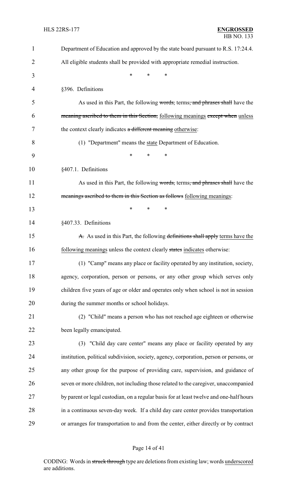| $\mathbf{1}$ | Department of Education and approved by the state board pursuant to R.S. 17:24.4.       |
|--------------|-----------------------------------------------------------------------------------------|
| 2            | All eligible students shall be provided with appropriate remedial instruction.          |
| 3            | *<br>$\ast$<br>*                                                                        |
| 4            | §396. Definitions                                                                       |
| 5            | As used in this Part, the following words, terms, and phrases shall have the            |
| 6            | meaning ascribed to them in this Section, following meanings except when unless         |
| 7            | the context clearly indicates a different meaning otherwise:                            |
| 8            | (1) "Department" means the state Department of Education.                               |
| 9            | *<br>*<br>*                                                                             |
| 10           | §407.1. Definitions                                                                     |
| 11           | As used in this Part, the following words, terms, and phrases shall have the            |
| 12           | meanings ascribed to them in this Section as follows following meanings:                |
| 13           | *<br>*<br>∗                                                                             |
| 14           | §407.33. Definitions                                                                    |
| 15           | A. As used in this Part, the following definitions shall apply terms have the           |
| 16           | following meanings unless the context clearly states indicates otherwise:               |
| 17           | (1) "Camp" means any place or facility operated by any institution, society,            |
| 18           | agency, corporation, person or persons, or any other group which serves only            |
| 19           | children five years of age or older and operates only when school is not in session     |
| 20           | during the summer months or school holidays.                                            |
| 21           | (2) "Child" means a person who has not reached age eighteen or otherwise                |
| 22           | been legally emancipated.                                                               |
| 23           | (3) "Child day care center" means any place or facility operated by any                 |
| 24           | institution, political subdivision, society, agency, corporation, person or persons, or |
| 25           | any other group for the purpose of providing care, supervision, and guidance of         |
| 26           | seven or more children, not including those related to the caregiver, unaccompanied     |
| 27           | by parent or legal custodian, on a regular basis for at least twelve and one-half hours |
| 28           | in a continuous seven-day week. If a child day care center provides transportation      |
| 29           | or arranges for transportation to and from the center, either directly or by contract   |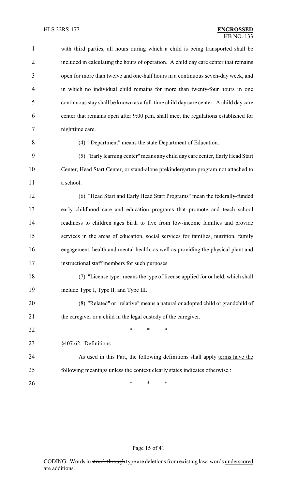| $\mathbf{1}$   | with third parties, all hours during which a child is being transported shall be      |
|----------------|---------------------------------------------------------------------------------------|
| $\overline{2}$ | included in calculating the hours of operation. A child day care center that remains  |
| 3              | open for more than twelve and one-half hours in a continuous seven-day week, and      |
| $\overline{4}$ | in which no individual child remains for more than twenty-four hours in one           |
| 5              | continuous stay shall be known as a full-time child day care center. A child day care |
| 6              | center that remains open after 9:00 p.m. shall meet the regulations established for   |
| 7              | nighttime care.                                                                       |
| 8              | (4) "Department" means the state Department of Education.                             |
| 9              | (5) "Early learning center" means any child day care center, Early Head Start         |
| 10             | Center, Head Start Center, or stand-alone prekindergarten program not attached to     |
| 11             | a school.                                                                             |
| 12             | (6) "Head Start and Early Head Start Programs" mean the federally-funded              |
| 13             | early childhood care and education programs that promote and teach school             |
| 14             | readiness to children ages birth to five from low-income families and provide         |
| 15             | services in the areas of education, social services for families, nutrition, family   |
| 16             | engagement, health and mental health, as well as providing the physical plant and     |
| 17             | instructional staff members for such purposes.                                        |
| 18             | (7) "License type" means the type of license applied for or held, which shall         |
| 19             | include Type I, Type II, and Type III.                                                |
| 20             | (8) "Related" or "relative" means a natural or adopted child or grandchild of         |
| 21             | the caregiver or a child in the legal custody of the caregiver.                       |
| 22             | ∗<br>∗<br>∗                                                                           |
| 23             | §407.62. Definitions                                                                  |
| 24             | As used in this Part, the following definitions shall apply terms have the            |
| 25             | following meanings unless the context clearly states indicates otherwise.:            |
| 26             | ∗<br>∗<br>∗                                                                           |

Page 15 of 41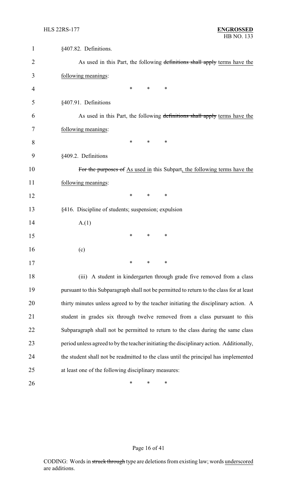| $\mathbf 1$ | §407.82. Definitions.                                                                    |
|-------------|------------------------------------------------------------------------------------------|
| 2           | As used in this Part, the following definitions shall apply terms have the               |
| 3           | following meanings:                                                                      |
| 4           | *<br>∗<br>∗                                                                              |
| 5           | §407.91. Definitions                                                                     |
| 6           | As used in this Part, the following definitions shall apply terms have the               |
| 7           | following meanings:                                                                      |
| 8           | ∗<br>∗<br>∗                                                                              |
| 9           | §409.2. Definitions                                                                      |
| 10          | For the purposes of As used in this Subpart, the following terms have the                |
| 11          | following meanings:                                                                      |
| 12          | ∗<br>$\ast$<br>∗                                                                         |
| 13          | §416. Discipline of students; suspension; expulsion                                      |
| 14          | A.(1)                                                                                    |
| 15          | ∗<br>∗<br>∗                                                                              |
| 16          | (c)                                                                                      |
| 17          | ∗<br>∗<br>∗                                                                              |
| 18          | (iii) A student in kindergarten through grade five removed from a class                  |
| 19          | pursuant to this Subparagraph shall not be permitted to return to the class for at least |
| 20          | thirty minutes unless agreed to by the teacher initiating the disciplinary action. A     |
| 21          | student in grades six through twelve removed from a class pursuant to this               |
| 22          | Subparagraph shall not be permitted to return to the class during the same class         |
| 23          | period unless agreed to by the teacher initiating the disciplinary action. Additionally, |
| 24          | the student shall not be readmitted to the class until the principal has implemented     |
| 25          | at least one of the following disciplinary measures:                                     |
| 26          | ∗<br>∗<br>∗                                                                              |

# Page 16 of 41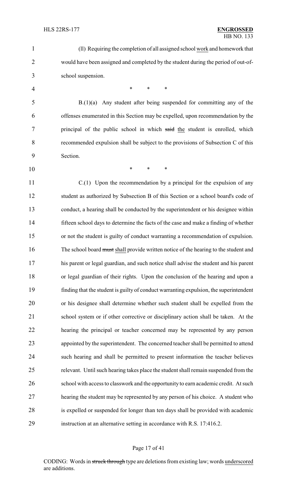| $\mathbf{1}$   | (ll) Requiring the completion of all assigned school work and homework that            |
|----------------|----------------------------------------------------------------------------------------|
| $\overline{2}$ | would have been assigned and completed by the student during the period of out-of-     |
| 3              | school suspension.                                                                     |
| 4              | $\ast$<br>$\ast$<br>*                                                                  |
| 5              | $B(1)(a)$ Any student after being suspended for committing any of the                  |
| 6              | offenses enumerated in this Section may be expelled, upon recommendation by the        |
| 7              | principal of the public school in which said the student is enrolled, which            |
| 8              | recommended expulsion shall be subject to the provisions of Subsection C of this       |
| 9              | Section.                                                                               |
| 10             | *<br>$\ast$<br>$\ast$                                                                  |
| 11             | $C(1)$ Upon the recommendation by a principal for the expulsion of any                 |
| 12             | student as authorized by Subsection B of this Section or a school board's code of      |
| 13             | conduct, a hearing shall be conducted by the superintendent or his designee within     |
| 14             | fifteen school days to determine the facts of the case and make a finding of whether   |
| 15             | or not the student is guilty of conduct warranting a recommendation of expulsion.      |
| 16             | The school board must shall provide written notice of the hearing to the student and   |
| 17             | his parent or legal guardian, and such notice shall advise the student and his parent  |
| 18             | or legal guardian of their rights. Upon the conclusion of the hearing and upon a       |
| 19             | finding that the student is guilty of conduct warranting expulsion, the superintendent |
| 20             | or his designee shall determine whether such student shall be expelled from the        |
| 21             | school system or if other corrective or disciplinary action shall be taken. At the     |
| 22             | hearing the principal or teacher concerned may be represented by any person            |
| 23             | appointed by the superintendent. The concerned teacher shall be permitted to attend    |
| 24             | such hearing and shall be permitted to present information the teacher believes        |
| 25             | relevant. Until such hearing takes place the student shall remain suspended from the   |
| 26             | school with access to classwork and the opportunity to earn academic credit. At such   |
| 27             | hearing the student may be represented by any person of his choice. A student who      |
| 28             | is expelled or suspended for longer than ten days shall be provided with academic      |
| 29             | instruction at an alternative setting in accordance with R.S. 17:416.2.                |
|                |                                                                                        |

#### Page 17 of 41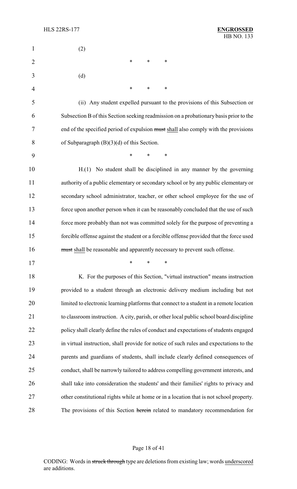| $\mathbf{1}$   | (2)                                                                                     |
|----------------|-----------------------------------------------------------------------------------------|
| $\overline{2}$ | $\ast$<br>$\ast$<br>*                                                                   |
| 3              | (d)                                                                                     |
| 4              | $\ast$<br>$\ast$<br>*                                                                   |
| 5              | (ii) Any student expelled pursuant to the provisions of this Subsection or              |
| 6              | Subsection B of this Section seeking readmission on a probationary basis prior to the   |
| 7              | end of the specified period of expulsion must shall also comply with the provisions     |
| 8              | of Subparagraph $(B)(3)(d)$ of this Section.                                            |
| 9              | $\ast$<br>$\ast$<br>$\ast$                                                              |
| 10             | H.(1) No student shall be disciplined in any manner by the governing                    |
| 11             | authority of a public elementary or secondary school or by any public elementary or     |
| 12             | secondary school administrator, teacher, or other school employee for the use of        |
| 13             | force upon another person when it can be reasonably concluded that the use of such      |
| 14             | force more probably than not was committed solely for the purpose of preventing a       |
| 15             | forcible offense against the student or a forcible offense provided that the force used |
| 16             | must shall be reasonable and apparently necessary to prevent such offense.              |
| 17             | ∗<br>∗<br>∗                                                                             |
| 18             | K. For the purposes of this Section, "virtual instruction" means instruction            |
| 19             | provided to a student through an electronic delivery medium including but not           |
| 20             | limited to electronic learning platforms that connect to a student in a remote location |
| 21             | to classroom instruction. A city, parish, or other local public school board discipline |
| 22             | policy shall clearly define the rules of conduct and expectations of students engaged   |
| 23             | in virtual instruction, shall provide for notice of such rules and expectations to the  |
| 24             | parents and guardians of students, shall include clearly defined consequences of        |
| 25             | conduct, shall be narrowly tailored to address compelling government interests, and     |
| 26             | shall take into consideration the students' and their families' rights to privacy and   |
| 27             | other constitutional rights while at home or in a location that is not school property. |
| 28             | The provisions of this Section herein related to mandatory recommendation for           |

# Page 18 of 41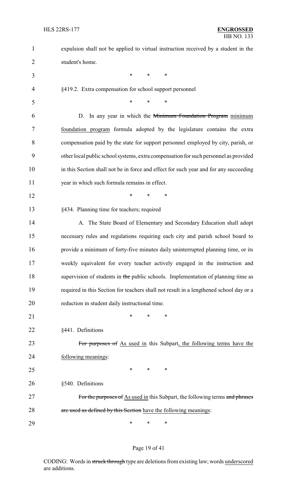| $\mathbf{1}$   | expulsion shall not be applied to virtual instruction received by a student in the     |
|----------------|----------------------------------------------------------------------------------------|
| $\overline{2}$ | student's home.                                                                        |
| 3              | $\ast$<br>$\ast$<br>$\ast$                                                             |
| 4              | §419.2. Extra compensation for school support personnel                                |
| 5              | $\ast$<br>*<br>$\ast$                                                                  |
| 6              | In any year in which the Minimum Foundation Program minimum<br>D.                      |
| 7              | foundation program formula adopted by the legislature contains the extra               |
| 8              | compensation paid by the state for support personnel employed by city, parish, or      |
| 9              | other local public school systems, extra compensation for such personnel as provided   |
| 10             | in this Section shall not be in force and effect for such year and for any succeeding  |
| 11             | year in which such formula remains in effect.                                          |
| 12             | $\ast$<br>$\ast$<br>∗                                                                  |
| 13             | §434. Planning time for teachers; required                                             |
| 14             | A. The State Board of Elementary and Secondary Education shall adopt                   |
| 15             | necessary rules and regulations requiring each city and parish school board to         |
| 16             | provide a minimum of forty-five minutes daily uninterrupted planning time, or its      |
| 17             | weekly equivalent for every teacher actively engaged in the instruction and            |
| 18             | supervision of students in the public schools. Implementation of planning time as      |
| 19             | required in this Section for teachers shall not result in a lengthened school day or a |
| 20             | reduction in student daily instructional time.                                         |
| 21             | *<br>*<br>∗                                                                            |
| 22             | §441. Definitions                                                                      |
| 23             | For purposes of As used in this Subpart, the following terms have the                  |
| 24             | following meanings:                                                                    |
| 25             | $\ast$<br>∗<br>∗                                                                       |
| 26             | §540. Definitions                                                                      |
| 27             | For the purposes of As used in this Subpart, the following terms and phrases           |
| 28             | are used as defined by this Section have the following meanings:                       |
| 29             | ∗<br>∗<br>∗                                                                            |

# Page 19 of 41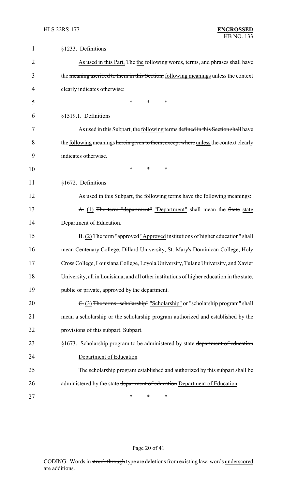| $\mathbf{1}$ | §1233. Definitions                                                                          |
|--------------|---------------------------------------------------------------------------------------------|
| 2            | As used in this Part, The the following words, terms, and phrases shall have                |
| 3            | the meaning ascribed to them in this Section, following meanings unless the context         |
| 4            | clearly indicates otherwise:                                                                |
| 5            | *<br>$\ast$<br>*                                                                            |
| 6            | §1519.1. Definitions                                                                        |
| 7            | As used in this Subpart, the following terms defined in this Section shall have             |
| 8            | the <u>following</u> meanings herein given to them, except where unless the context clearly |
| 9            | indicates otherwise.                                                                        |
| 10           | *<br>$\ast$<br>$\ast$                                                                       |
| 11           | §1672. Definitions                                                                          |
| 12           | As used in this Subpart, the following terms have the following meanings:                   |
| 13           | A. (1) The term "department" "Department" shall mean the State state                        |
| 14           | Department of Education.                                                                    |
| 15           | B. (2) The term "approved "Approved institutions of higher education" shall                 |
| 16           | mean Centenary College, Dillard University, St. Mary's Dominican College, Holy              |
| 17           | Cross College, Louisiana College, Loyola University, Tulane University, and Xavier          |
| 18           | University, all in Louisiana, and all other institutions of higher education in the state,  |
| 19           | public or private, approved by the department.                                              |
| 20           | $\epsilon$ (3) The terms "scholarship" "Scholarship" or "scholarship program" shall         |
| 21           | mean a scholarship or the scholarship program authorized and established by the             |
| 22           | provisions of this subpart. Subpart.                                                        |
| 23           | §1673. Scholarship program to be administered by state department of education              |
| 24           | Department of Education                                                                     |
| 25           | The scholarship program established and authorized by this subpart shall be                 |
| 26           | administered by the state department of education Department of Education.                  |
| 27           | *<br>*<br>∗                                                                                 |

# Page 20 of 41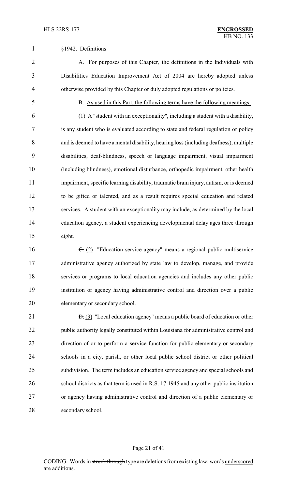#### §1942. Definitions

 A. For purposes of this Chapter, the definitions in the Individuals with Disabilities Education Improvement Act of 2004 are hereby adopted unless otherwise provided by this Chapter or duly adopted regulations or policies.

#### B. As used in this Part, the following terms have the following meanings:

 (1) A "student with an exceptionality", including a student with a disability, is any student who is evaluated according to state and federal regulation or policy and is deemed to have a mental disability, hearing loss (including deafness), multiple disabilities, deaf-blindness, speech or language impairment, visual impairment (including blindness), emotional disturbance, orthopedic impairment, other health impairment, specific learning disability, traumatic brain injury, autism, or is deemed to be gifted or talented, and as a result requires special education and related services. A student with an exceptionality may include, as determined by the local education agency, a student experiencing developmental delay ages three through eight.

16 <del>C.</del> (2) "Education service agency" means a regional public multiservice administrative agency authorized by state law to develop, manage, and provide services or programs to local education agencies and includes any other public institution or agency having administrative control and direction over a public elementary or secondary school.

21 <del>D.</del> (3) "Local education agency" means a public board of education or other public authority legally constituted within Louisiana for administrative control and direction of or to perform a service function for public elementary or secondary schools in a city, parish, or other local public school district or other political subdivision. The term includes an education service agency and special schools and school districts as that term is used in R.S. 17:1945 and any other public institution or agency having administrative control and direction of a public elementary or secondary school.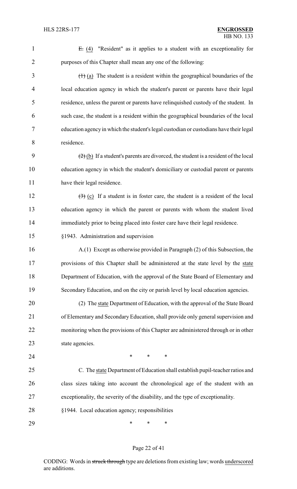| $\mathbf{1}$   | $E: (4)$ "Resident" as it applies to a student with an exceptionality for                                  |
|----------------|------------------------------------------------------------------------------------------------------------|
| $\overline{2}$ | purposes of this Chapter shall mean any one of the following:                                              |
| 3              | $(1)$ (a) The student is a resident within the geographical boundaries of the                              |
| 4              | local education agency in which the student's parent or parents have their legal                           |
| 5              | residence, unless the parent or parents have relinquished custody of the student. In                       |
| 6              | such case, the student is a resident within the geographical boundaries of the local                       |
| 7              | education agency in which the student's legal custodian or custodians have their legal                     |
| 8              | residence.                                                                                                 |
| 9              | $\left(\frac{1}{2}\right)$ (b) If a student's parents are divorced, the student is a resident of the local |
| 10             | education agency in which the student's domiciliary or custodial parent or parents                         |
| 11             | have their legal residence.                                                                                |
| 12             | $\left(\frac{1}{2}\right)$ (c) If a student is in foster care, the student is a resident of the local      |
| 13             | education agency in which the parent or parents with whom the student lived                                |
| 14             | immediately prior to being placed into foster care have their legal residence.                             |
| 15             | §1943. Administration and supervision                                                                      |
| 16             | A.(1) Except as otherwise provided in Paragraph (2) of this Subsection, the                                |
| 17             | provisions of this Chapter shall be administered at the state level by the state                           |
| 18             | Department of Education, with the approval of the State Board of Elementary and                            |
| 19             | Secondary Education, and on the city or parish level by local education agencies.                          |
| 20             | (2) The state Department of Education, with the approval of the State Board                                |
| 21             | of Elementary and Secondary Education, shall provide only general supervision and                          |
| 22             | monitoring when the provisions of this Chapter are administered through or in other                        |
| 23             | state agencies.                                                                                            |
| 24             | $\ast$<br>∗<br>∗                                                                                           |
| 25             | C. The state Department of Education shall establish pupil-teacher ratios and                              |
| 26             | class sizes taking into account the chronological age of the student with an                               |
| 27             | exceptionality, the severity of the disability, and the type of exceptionality.                            |
| 28             | §1944. Local education agency; responsibilities                                                            |
| 29             | $\ast$<br>∗<br>∗                                                                                           |

# Page 22 of 41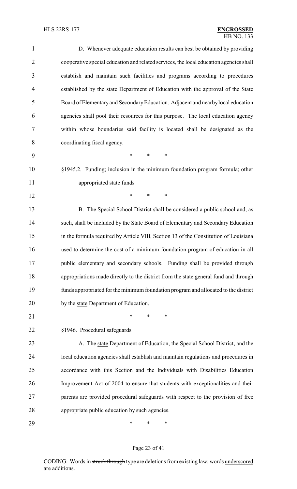| $\mathbf{1}$   | D. Whenever adequate education results can best be obtained by providing               |
|----------------|----------------------------------------------------------------------------------------|
| $\overline{2}$ | cooperative special education and related services, the local education agencies shall |
| 3              | establish and maintain such facilities and programs according to procedures            |
| $\overline{4}$ | established by the state Department of Education with the approval of the State        |
| 5              | Board of Elementary and Secondary Education. Adjacent and nearby local education       |
| 6              | agencies shall pool their resources for this purpose. The local education agency       |
| 7              | within whose boundaries said facility is located shall be designated as the            |
| 8              | coordinating fiscal agency.                                                            |
| 9              | $\ast$<br>$\ast$<br>$\ast$                                                             |
| 10             | §1945.2. Funding; inclusion in the minimum foundation program formula; other           |
| 11             | appropriated state funds                                                               |
| 12             | $\ast$<br>$\ast$<br>*                                                                  |
| 13             | B. The Special School District shall be considered a public school and, as             |
| 14             | such, shall be included by the State Board of Elementary and Secondary Education       |
| 15             | in the formula required by Article VIII, Section 13 of the Constitution of Louisiana   |
| 16             | used to determine the cost of a minimum foundation program of education in all         |
| 17             | public elementary and secondary schools. Funding shall be provided through             |
| 18             | appropriations made directly to the district from the state general fund and through   |
| 19             | funds appropriated for the minimum foundation program and allocated to the district    |
| 20             | by the state Department of Education.                                                  |
| 21             | $\ast$<br>∗<br>∗                                                                       |
| 22             | §1946. Procedural safeguards                                                           |
| 23             | A. The state Department of Education, the Special School District, and the             |
| 24             | local education agencies shall establish and maintain regulations and procedures in    |
| 25             | accordance with this Section and the Individuals with Disabilities Education           |
| 26             | Improvement Act of 2004 to ensure that students with exceptionalities and their        |
| 27             | parents are provided procedural safeguards with respect to the provision of free       |
| 28             | appropriate public education by such agencies.                                         |
| 29             | ∗<br>∗<br>∗                                                                            |

# Page 23 of 41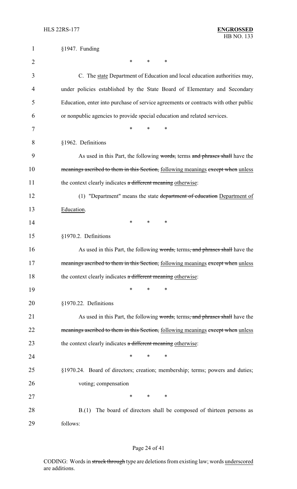| 1              | §1947. Funding                                                                      |
|----------------|-------------------------------------------------------------------------------------|
| $\overline{2}$ | *<br>*<br>∗                                                                         |
| 3              | C. The state Department of Education and local education authorities may,           |
| 4              | under policies established by the State Board of Elementary and Secondary           |
| 5              | Education, enter into purchase of service agreements or contracts with other public |
| 6              | or nonpublic agencies to provide special education and related services.            |
| 7              | *<br>*<br>∗                                                                         |
| 8              | §1962. Definitions                                                                  |
| 9              | As used in this Part, the following words, terms and phrases shall have the         |
| 10             | meanings ascribed to them in this Section, following meanings except when unless    |
| 11             | the context clearly indicates a different meaning otherwise:                        |
| 12             | (1) "Department" means the state department of education Department of              |
| 13             | Education.                                                                          |
| 14             | *<br>*<br>∗                                                                         |
| 15             | §1970.2. Definitions                                                                |
| 16             | As used in this Part, the following words, terms, and phrases shall have the        |
| 17             | meanings ascribed to them in this Section, following meanings except when unless    |
| 18             | the context clearly indicates a different meaning otherwise:                        |
| 19             | *<br>∗<br>∗                                                                         |
| 20             | §1970.22. Definitions                                                               |
| 21             | As used in this Part, the following words, terms, and phrases shall have the        |
| 22             | meanings ascribed to them in this Section, following meanings except when unless    |
| 23             | the context clearly indicates a different meaning otherwise:                        |
| 24             | ∗<br>∗                                                                              |
| 25             | §1970.24. Board of directors; creation; membership; terms; powers and duties;       |
| 26             | voting; compensation                                                                |
| 27             | *<br>*<br>∗                                                                         |
| 28             | B.(1) The board of directors shall be composed of thirteen persons as               |
| 29             | follows:                                                                            |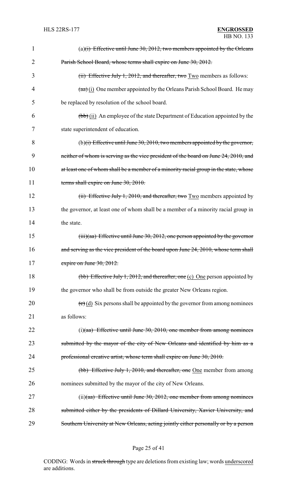| $\mathbf 1$ | (a) $(i)$ Effective until June 30, 2012, two members appointed by the Orleans                     |
|-------------|---------------------------------------------------------------------------------------------------|
| 2           | Parish School Board, whose terms shall expire on June 30, 2012.                                   |
| 3           | (ii) Effective July 1, 2012, and thereafter, two $Two$ members as follows:                        |
| 4           | $(a\overline{a})$ (i) One member appointed by the Orleans Parish School Board. He may             |
| 5           | be replaced by resolution of the school board.                                                    |
| 6           | (bb) (ii) An employee of the state Department of Education appointed by the                       |
| 7           | state superintendent of education.                                                                |
| 8           | (b) $(i)$ Effective until June 30, 2010, two members appointed by the governor,                   |
| 9           | neither of whom is serving as the vice president of the board on June 24, 2010, and               |
| 10          | at least one of whom shall be a member of a minority racial group in the state, whose             |
| 11          | terms shall expire on June 30, 2010.                                                              |
| 12          | (ii) Effective July 1, 2010, and thereafter, two Two members appointed by                         |
| 13          | the governor, at least one of whom shall be a member of a minority racial group in                |
| 14          | the state.                                                                                        |
| 15          | $(iii)(aa)$ Effective until June 30, 2012, one person appointed by the governor                   |
| 16          | and serving as the vice president of the board upon June 24, 2010, whose term shall               |
| 17          | expire on June 30, 2012.                                                                          |
| 18          | (bb) Effective July 1, 2012, and thereafter, one (c) One person appointed by                      |
| 19          | the governor who shall be from outside the greater New Orleans region.                            |
| 20          | $\left(\frac{e}{c}\right)$ (d) Six persons shall be appointed by the governor from among nominees |
| 21          | as follows:                                                                                       |
| 22          | $(i)(aa)$ Effective until June 30, 2010, one member from among nominees                           |
| 23          | submitted by the mayor of the city of New Orleans and identified by him as a                      |
| 24          | professional creative artist, whose term shall expire on June 30, 2010.                           |
| 25          | (bb) Effective July 1, 2010, and thereafter, one One member from among                            |
| 26          | nominees submitted by the mayor of the city of New Orleans.                                       |
| 27          | $(ii)(aa)$ Effective until June 30, 2012, one member from among nominees                          |
| 28          | submitted either by the presidents of Dillard University, Xavier University, and                  |
| 29          | Southern University at New Orleans, acting jointly either personally or by a person               |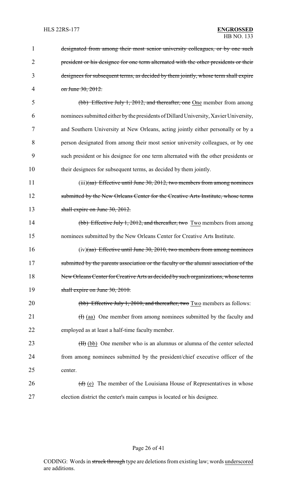| 1              | designated from among their most senior university colleagues, or by one such         |
|----------------|---------------------------------------------------------------------------------------|
| $\overline{2}$ | president or his designee for one term alternated with the other presidents or their  |
| 3              | designees for subsequent terms, as decided by them jointly, whose term shall expire   |
| $\overline{4}$ | on June 30, 2012.                                                                     |
| 5              | (bb) Effective July 1, 2012, and thereafter, one One member from among                |
| 6              | nominees submitted either by the presidents of Dillard University, Xavier University, |
| 7              | and Southern University at New Orleans, acting jointly either personally or by a      |
| 8              | person designated from among their most senior university colleagues, or by one       |
| 9              | such president or his designee for one term alternated with the other presidents or   |
| 10             | their designees for subsequent terms, as decided by them jointly.                     |
| 11             | $(iii)(aa)$ Effective until June 30, 2012, two members from among nominees            |
| 12             | submitted by the New Orleans Center for the Creative Arts Institute, whose terms      |
| 13             | shall expire on June 30, 2012.                                                        |
| 14             | (bb) Effective July 1, 2012, and thereafter, two Two members from among               |
| 15             | nominees submitted by the New Orleans Center for Creative Arts Institute.             |
| 16             | $(iv)(aa)$ Effective until June 30, 2010, two members from among nominees             |
| 17             | submitted by the parents association or the faculty or the alumni association of the  |
| 18             | New Orleans Center for Creative Arts as decided by such organizations, whose terms    |
| 19             | shall expire on June 30, 2010.                                                        |
| 20             | (bb) Effective July 1, 2010, and thereafter, two Two members as follows:              |
| 21             | $(H)$ (aa) One member from among nominees submitted by the faculty and                |
| 22             | employed as at least a half-time faculty member.                                      |
| 23             | (H) (bb) One member who is an alumnus or alumna of the center selected                |
| 24             | from among nominees submitted by the president/chief executive officer of the         |
| 25             | center.                                                                               |
| 26             | $(d)$ (e) The member of the Louisiana House of Representatives in whose               |
| 27             | election district the center's main campus is located or his designee.                |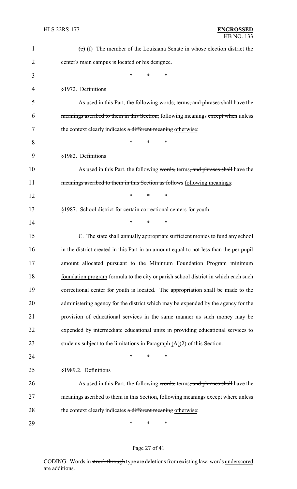| 1              | $(e)$ (f) The member of the Louisiana Senate in whose election district the            |
|----------------|----------------------------------------------------------------------------------------|
| $\overline{2}$ | center's main campus is located or his designee.                                       |
| 3              | *<br>*<br>*                                                                            |
| 4              | §1972. Definitions                                                                     |
| 5              | As used in this Part, the following words, terms, and phrases shall have the           |
| 6              | meanings ascribed to them in this Section, following meanings except when unless       |
| 7              | the context clearly indicates a different meaning otherwise:                           |
| 8              | *<br>*<br>*                                                                            |
| 9              | §1982. Definitions                                                                     |
| 10             | As used in this Part, the following words, terms, and phrases shall have the           |
| 11             | meanings ascribed to them in this Section as follows following meanings:               |
| 12             | $\ast$<br>$\ast$<br>∗                                                                  |
| 13             | §1987. School district for certain correctional centers for youth                      |
| 14             | *<br>∗<br>∗                                                                            |
| 15             | C. The state shall annually appropriate sufficient monies to fund any school           |
| 16             | in the district created in this Part in an amount equal to not less than the per pupil |
| 17             | amount allocated pursuant to the Minimum Foundation Program minimum                    |
| 18             | foundation program formula to the city or parish school district in which each such    |
| 19             | correctional center for youth is located. The appropriation shall be made to the       |
| 20             | administering agency for the district which may be expended by the agency for the      |
| 21             | provision of educational services in the same manner as such money may be              |
| 22             | expended by intermediate educational units in providing educational services to        |
| 23             | students subject to the limitations in Paragraph $(A)(2)$ of this Section.             |
| 24             | *<br>*<br>*                                                                            |
| 25             | §1989.2. Definitions                                                                   |
| 26             | As used in this Part, the following words, terms, and phrases shall have the           |
| 27             | meanings ascribed to them in this Section, following meanings except where unless      |
| 28             | the context clearly indicates a different meaning otherwise:                           |
| 29             | ∗<br>$\ast$<br>∗                                                                       |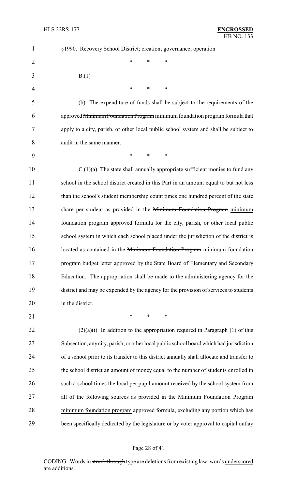| $\mathbf{1}$   | §1990. Recovery School District; creation; governance; operation                           |
|----------------|--------------------------------------------------------------------------------------------|
| $\overline{2}$ | *<br>*<br>*                                                                                |
| 3              | B(1)                                                                                       |
| 4              | *<br>*<br>∗                                                                                |
| 5              | (b) The expenditure of funds shall be subject to the requirements of the                   |
| 6              | approved Minimum Foundation Program minimum foundation program formula that                |
| 7              | apply to a city, parish, or other local public school system and shall be subject to       |
| 8              | audit in the same manner.                                                                  |
| 9              | $\ast$<br>∗<br>$\ast$                                                                      |
| 10             | $C(1)(a)$ The state shall annually appropriate sufficient monies to fund any               |
| 11             | school in the school district created in this Part in an amount equal to but not less      |
| 12             | than the school's student membership count times one hundred percent of the state          |
| 13             | share per student as provided in the Minimum Foundation Program minimum                    |
| 14             | foundation program approved formula for the city, parish, or other local public            |
| 15             | school system in which each school placed under the jurisdiction of the district is        |
| 16             | located as contained in the Minimum Foundation Program minimum foundation                  |
| 17             | program budget letter approved by the State Board of Elementary and Secondary              |
| 18             | Education. The appropriation shall be made to the administering agency for the             |
| 19             | district and may be expended by the agency for the provision of services to students       |
| 20             | in the district.                                                                           |
| 21             | $\ast$<br>$\ast$<br>$\ast$                                                                 |
| 22             | $(2)(a)(i)$ In addition to the appropriation required in Paragraph (1) of this             |
| 23             | Subsection, any city, parish, or other local public school board which had jurisdiction    |
| 24             | of a school prior to its transfer to this district annually shall allocate and transfer to |
| 25             | the school district an amount of money equal to the number of students enrolled in         |
| 26             | such a school times the local per pupil amount received by the school system from          |
| 27             | all of the following sources as provided in the Minimum Foundation Program                 |
| 28             | minimum foundation program approved formula, excluding any portion which has               |
| 29             | been specifically dedicated by the legislature or by voter approval to capital outlay      |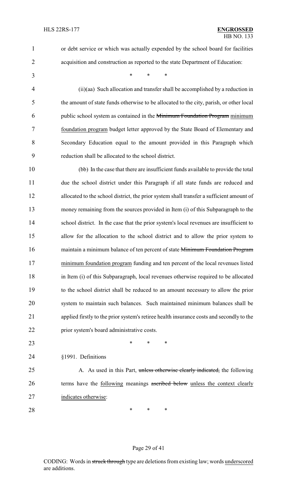or debt service or which was actually expended by the school board for facilities

acquisition and construction as reported to the state Department of Education:

\* \* \*

 (ii)(aa) Such allocation and transfer shall be accomplished by a reduction in the amount of state funds otherwise to be allocated to the city, parish, or other local public school system as contained in the Minimum Foundation Program minimum foundation program budget letter approved by the State Board of Elementary and Secondary Education equal to the amount provided in this Paragraph which reduction shall be allocated to the school district.

 (bb) In the case that there are insufficient funds available to provide the total due the school district under this Paragraph if all state funds are reduced and allocated to the school district, the prior system shall transfer a sufficient amount of money remaining from the sources provided in Item (i) of this Subparagraph to the 14 school district. In the case that the prior system's local revenues are insufficient to allow for the allocation to the school district and to allow the prior system to 16 maintain a minimum balance of ten percent of state Minimum Foundation Program minimum foundation program funding and ten percent of the local revenues listed in Item (i) of this Subparagraph, local revenues otherwise required to be allocated to the school district shall be reduced to an amount necessary to allow the prior system to maintain such balances. Such maintained minimum balances shall be applied firstly to the prior system's retiree health insurance costs and secondly to the prior system's board administrative costs.

**\*** \* \* \*

§1991. Definitions

25 A. As used in this Part, unless otherwise clearly indicated, the following 26 terms have the following meanings ascribed below unless the context clearly indicates otherwise:

**\*** \* \* \*

#### Page 29 of 41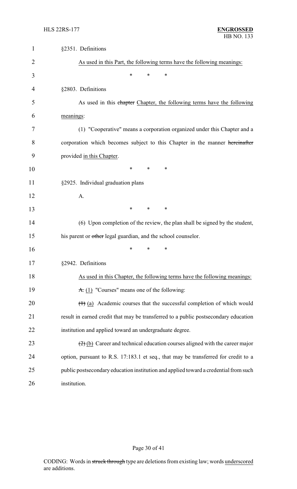| 1  | §2351. Definitions                                                                                  |
|----|-----------------------------------------------------------------------------------------------------|
| 2  | As used in this Part, the following terms have the following meanings:                              |
| 3  | *<br>*<br>*                                                                                         |
| 4  | §2803. Definitions                                                                                  |
| 5  | As used in this chapter Chapter, the following terms have the following                             |
| 6  | meanings:                                                                                           |
| 7  | (1) "Cooperative" means a corporation organized under this Chapter and a                            |
| 8  | corporation which becomes subject to this Chapter in the manner hereinafter                         |
| 9  | provided in this Chapter.                                                                           |
| 10 | $\ast$<br>$\ast$<br>*                                                                               |
| 11 | §2925. Individual graduation plans                                                                  |
| 12 | A.                                                                                                  |
| 13 | $\ast$<br>∗<br>∗                                                                                    |
| 14 | (6) Upon completion of the review, the plan shall be signed by the student,                         |
| 15 | his parent or other legal guardian, and the school counselor.                                       |
| 16 | *<br>*<br>*                                                                                         |
| 17 | §2942. Definitions                                                                                  |
| 18 | As used in this Chapter, the following terms have the following meanings:                           |
| 19 | $\overline{A}$ . (1) "Courses" means one of the following:                                          |
| 20 | $(1)$ (a) Academic courses that the successful completion of which would                            |
| 21 | result in earned credit that may be transferred to a public postsecondary education                 |
| 22 | institution and applied toward an undergraduate degree.                                             |
| 23 | $\left(\frac{2}{2}\right)$ (b) Career and technical education courses aligned with the career major |
| 24 | option, pursuant to R.S. 17:183.1 et seq., that may be transferred for credit to a                  |
| 25 | public postsecondary education institution and applied toward a credential from such                |
| 26 | institution.                                                                                        |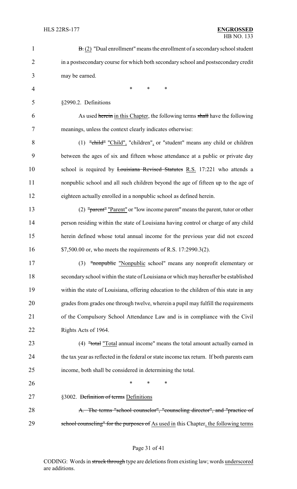| $\mathbf{1}$   | $\mathbf{B}$ . (2) "Dual enrollment" means the enrollment of a secondary school student   |
|----------------|-------------------------------------------------------------------------------------------|
| $\overline{2}$ | in a postsecondary course for which both secondary school and postsecondary credit        |
| 3              | may be earned.                                                                            |
| $\overline{4}$ | $\ast$<br>*<br>*                                                                          |
| 5              | §2990.2. Definitions                                                                      |
| 6              | As used herein in this Chapter, the following terms shall have the following              |
| 7              | meanings, unless the context clearly indicates otherwise:                                 |
| 8              | $(1)$ "child" "Child", "children", or "student" means any child or children               |
| 9              | between the ages of six and fifteen whose attendance at a public or private day           |
| 10             | school is required by <i>Louisiana Revised Statutes R.S.</i> 17:221 who attends a         |
| 11             | nonpublic school and all such children beyond the age of fifteen up to the age of         |
| 12             | eighteen actually enrolled in a nonpublic school as defined herein.                       |
| 13             | (2) "parent" "Parent" or "low income parent" means the parent, tutor or other             |
| 14             | person residing within the state of Louisiana having control or charge of any child       |
| 15             | herein defined whose total annual income for the previous year did not exceed             |
| 16             | \$7,500.00 or, who meets the requirements of R.S. 17:2990.3(2).                           |
| 17             | (3) "nonpublic "Nonpublic school" means any nonprofit elementary or                       |
| 18             | secondary school within the state of Louisiana or which may hereafter be established      |
| 19             | within the state of Louisiana, offering education to the children of this state in any    |
| 20             | grades from grades one through twelve, wherein a pupil may fulfill the requirements       |
| 21             | of the Compulsory School Attendance Law and is in compliance with the Civil               |
| 22             | Rights Acts of 1964.                                                                      |
| 23             | (4) "total "Total annual income" means the total amount actually earned in                |
| 24             | the tax year as reflected in the federal or state income tax return. If both parents earn |
| 25             | income, both shall be considered in determining the total.                                |
| 26             | $\ast$<br>*<br>∗                                                                          |
| 27             | §3002. Definition of terms Definitions                                                    |
| 28             | A. The terms "school counselor", "counseling director", and "practice of                  |
| 29             | school counseling" for the purposes of As used in this Chapter, the following terms       |

# Page 31 of 41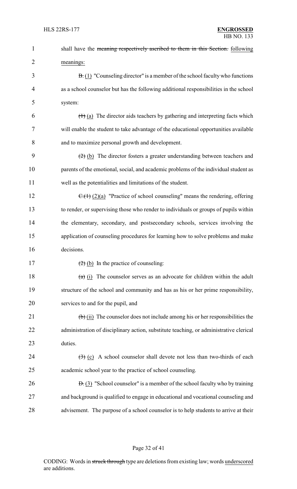| $\mathbf{1}$   | shall have the meaning respectively ascribed to them in this Section. following                      |
|----------------|------------------------------------------------------------------------------------------------------|
| $\overline{2}$ | meanings:                                                                                            |
| 3              | $\overline{B}(1)$ "Counseling director" is a member of the school faculty who functions              |
| 4              | as a school counselor but has the following additional responsibilities in the school                |
| 5              | system:                                                                                              |
| 6              | $(1)$ (a) The director aids teachers by gathering and interpreting facts which                       |
| 7              | will enable the student to take advantage of the educational opportunities available                 |
| 8              | and to maximize personal growth and development.                                                     |
| 9              | $\left(\frac{2}{2}\right)$ (b) The director fosters a greater understanding between teachers and     |
| 10             | parents of the emotional, social, and academic problems of the individual student as                 |
| 11             | well as the potentialities and limitations of the student.                                           |
| 12             | $\overline{C_1(1)}$ (2)(a) "Practice of school counseling" means the rendering, offering             |
| 13             | to render, or supervising those who render to individuals or groups of pupils within                 |
| 14             | the elementary, secondary, and postsecondary schools, services involving the                         |
| 15             | application of counseling procedures for learning how to solve problems and make                     |
| 16             | decisions.                                                                                           |
| 17             | $\left(\frac{2}{2}\right)$ (b) In the practice of counseling:                                        |
| 18             | $(a)$ (i) The counselor serves as an advocate for children within the adult                          |
| 19             | structure of the school and community and has as his or her prime responsibility,                    |
| 20             | services to and for the pupil, and                                                                   |
| 21             | $\left(\frac{1}{b}\right)$ (ii) The counselor does not include among his or her responsibilities the |
| 22             | administration of disciplinary action, substitute teaching, or administrative clerical               |
| 23             | duties.                                                                                              |
| 24             | $\left(\frac{1}{2}\right)$ (c) A school counselor shall devote not less than two-thirds of each      |
| 25             | academic school year to the practice of school counseling.                                           |
| 26             | $\overline{B}$ . (3) "School counselor" is a member of the school faculty who by training            |
| 27             | and background is qualified to engage in educational and vocational counseling and                   |
| 28             | advisement. The purpose of a school counselor is to help students to arrive at their                 |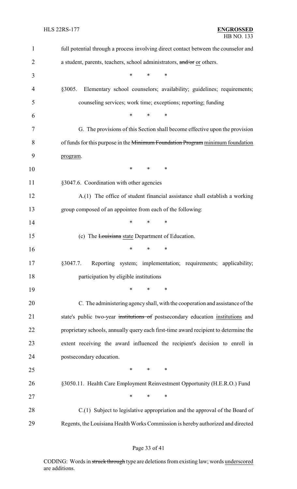| $\mathbf{1}$ | full potential through a process involving direct contact between the counselor and  |
|--------------|--------------------------------------------------------------------------------------|
| 2            | a student, parents, teachers, school administrators, and/or or others.               |
| 3            | $\ast$<br>$\ast$<br>$\ast$                                                           |
| 4            | §3005.<br>Elementary school counselors; availability; guidelines; requirements;      |
| 5            | counseling services; work time; exceptions; reporting; funding                       |
| 6            | $\ast$<br>$\ast$<br>$\ast$                                                           |
| 7            | G. The provisions of this Section shall become effective upon the provision          |
| 8            | of funds for this purpose in the Minimum Foundation Program minimum foundation       |
| 9            | program.                                                                             |
| 10           | $\ast$<br>$\ast$<br>∗                                                                |
| 11           | §3047.6. Coordination with other agencies                                            |
| 12           | A.(1) The office of student financial assistance shall establish a working           |
| 13           | group composed of an appointee from each of the following:                           |
| 14           | $\ast$<br>*<br>$\ast$                                                                |
| 15           | (c) The Louisiana state Department of Education.                                     |
| 16           | $\ast$<br>$\ast$<br>$\ast$                                                           |
| 17           | Reporting system; implementation; requirements; applicability;<br>§3047.7.           |
| 18           | participation by eligible institutions                                               |
| 19           | $\ast$<br>$\ast$<br>*                                                                |
| 20           | C. The administering agency shall, with the cooperation and assistance of the        |
| 21           | state's public two-year institutions of postsecondary education institutions and     |
| 22           | proprietary schools, annually query each first-time award recipient to determine the |
| 23           | extent receiving the award influenced the recipient's decision to enroll in          |
| 24           | postsecondary education.                                                             |
| 25           | $\ast$<br>∗<br>∗                                                                     |
| 26           | §3050.11. Health Care Employment Reinvestment Opportunity (H.E.R.O.) Fund            |
| 27           | $\ast$<br>$\ast$<br>$\ast$                                                           |
| 28           | C.(1) Subject to legislative appropriation and the approval of the Board of          |
| 29           | Regents, the Louisiana Health Works Commission is hereby authorized and directed     |

# Page 33 of 41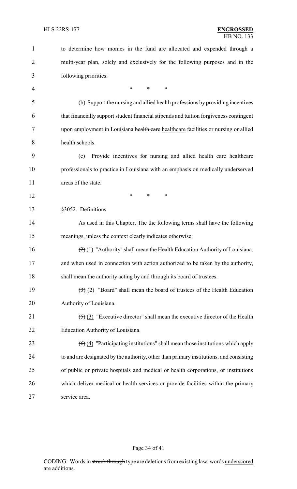| $\mathbf{1}$ | to determine how monies in the fund are allocated and expended through a                            |
|--------------|-----------------------------------------------------------------------------------------------------|
| 2            | multi-year plan, solely and exclusively for the following purposes and in the                       |
| 3            | following priorities:                                                                               |
| 4            | $\ast$<br>∗<br>∗                                                                                    |
| 5            | (b) Support the nursing and allied health professions by providing incentives                       |
| 6            | that financially support student financial stipends and tuition forgiveness contingent              |
| 7            | upon employment in Louisiana health care healthcare facilities or nursing or allied                 |
| 8            | health schools.                                                                                     |
| 9            | Provide incentives for nursing and allied health care healthcare<br>(c)                             |
| 10           | professionals to practice in Louisiana with an emphasis on medically underserved                    |
| 11           | areas of the state.                                                                                 |
| 12           | $\ast$<br>*<br>*                                                                                    |
| 13           | §3052. Definitions                                                                                  |
| 14           | As used in this Chapter, The the following terms shall have the following                           |
| 15           | meanings, unless the context clearly indicates otherwise:                                           |
| 16           | $\left(\frac{2}{2}\right)(1)$ "Authority" shall mean the Health Education Authority of Louisiana,   |
| 17           | and when used in connection with action authorized to be taken by the authority,                    |
| 18           | shall mean the authority acting by and through its board of trustees.                               |
| 19           | $\left(\frac{1}{2}\right)$ (2) "Board" shall mean the board of trustees of the Health Education     |
| 20           | Authority of Louisiana.                                                                             |
| 21           | $\left(\frac{1}{2}\right)$ (3) "Executive director" shall mean the executive director of the Health |
| 22           | Education Authority of Louisiana.                                                                   |
| 23           | $\left(\frac{6}{2}\right)$ "Participating institutions" shall mean those institutions which apply   |
| 24           | to and are designated by the authority, other than primary institutions, and consisting             |
| 25           | of public or private hospitals and medical or health corporations, or institutions                  |
| 26           | which deliver medical or health services or provide facilities within the primary                   |
| 27           | service area.                                                                                       |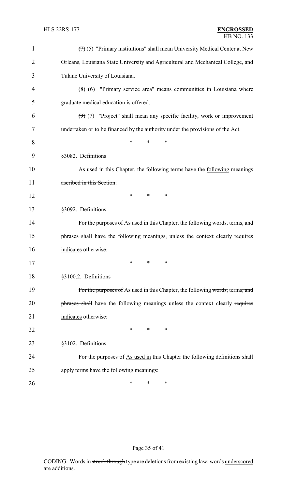| $\mathbf{1}$ | $(7)$ (5) "Primary institutions" shall mean University Medical Center at New     |
|--------------|----------------------------------------------------------------------------------|
| 2            | Orleans, Louisiana State University and Agricultural and Mechanical College, and |
| 3            | Tulane University of Louisiana.                                                  |
| 4            | $(8)$ (6) "Primary service area" means communities in Louisiana where            |
| 5            | graduate medical education is offered.                                           |
| 6            | $(9)$ (7) "Project" shall mean any specific facility, work or improvement        |
| 7            | undertaken or to be financed by the authority under the provisions of the Act.   |
| 8            | *<br>*<br>∗                                                                      |
| 9            | §3082. Definitions                                                               |
| 10           | As used in this Chapter, the following terms have the following meanings         |
| 11           | ascribed in this Section:                                                        |
| 12           | *<br>*<br>∗                                                                      |
| 13           | §3092. Definitions                                                               |
| 14           | For the purposes of As used in this Chapter, the following words, terms, and     |
| 15           | phrases shall have the following meanings, unless the context clearly requires   |
| 16           | indicates otherwise:                                                             |
| 17           | $\ast$ .<br>$\ast$ . The set of $\ast$<br>∗                                      |
| 18           | §3100.2. Definitions                                                             |
| 19           | For the purposes of As used in this Chapter, the following words, terms, and     |
| 20           | phrases shall have the following meanings unless the context clearly requires    |
| 21           | indicates otherwise:                                                             |
| 22           | *<br>∗<br>∗                                                                      |
| 23           | §3102. Definitions                                                               |
| 24           | For the purposes of As used in this Chapter the following definitions shall      |
| 25           | apply terms have the following meanings:                                         |
| 26           | ∗<br>∗<br>∗                                                                      |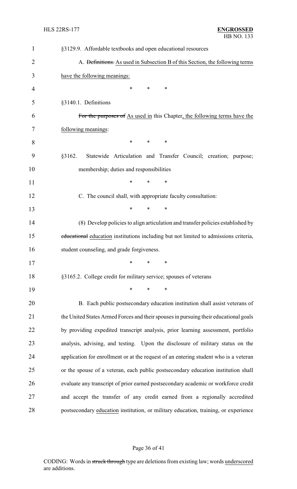| $\mathbf{1}$   | §3129.9. Affordable textbooks and open educational resources                            |
|----------------|-----------------------------------------------------------------------------------------|
| $\overline{2}$ | A. <del>Definitions.</del> As used in Subsection B of this Section, the following terms |
| 3              | have the following meanings:                                                            |
| 4              | $\ast$<br>∗<br>∗                                                                        |
| 5              | §3140.1. Definitions                                                                    |
| 6              | For the purposes of As used in this Chapter, the following terms have the               |
| 7              | following meanings:                                                                     |
| 8              | $\ast$<br>∗<br>∗                                                                        |
| 9              | Statewide Articulation and Transfer Council; creation; purpose;<br>§3162.               |
| 10             | membership; duties and responsibilities                                                 |
| 11             | $\ast$<br>$\ast$<br>*                                                                   |
| 12             | C. The council shall, with appropriate faculty consultation:                            |
| 13             | *<br>$\ast$<br>$\ast$                                                                   |
| 14             | (8) Develop policies to align articulation and transfer policies established by         |
| 15             | educational education institutions including but not limited to admissions criteria,    |
| 16             | student counseling, and grade forgiveness.                                              |
| 17             | ∗<br>∗<br>∗                                                                             |
| 18             | §3165.2. College credit for military service; spouses of veterans                       |
| 19             | *<br>$\ast$<br>$\ast$                                                                   |
| 20             | B. Each public postsecondary education institution shall assist veterans of             |
| 21             | the United States Armed Forces and their spouses in pursuing their educational goals    |
| 22             | by providing expedited transcript analysis, prior learning assessment, portfolio        |
| 23             | analysis, advising, and testing. Upon the disclosure of military status on the          |
| 24             | application for enrollment or at the request of an entering student who is a veteran    |
| 25             | or the spouse of a veteran, each public postsecondary education institution shall       |
| 26             | evaluate any transcript of prior earned postsecondary academic or workforce credit      |
| 27             | and accept the transfer of any credit earned from a regionally accredited               |
| 28             | postsecondary education institution, or military education, training, or experience     |

# Page 36 of 41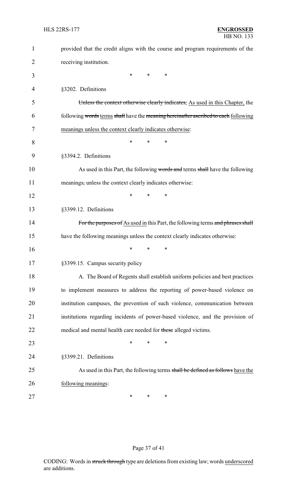| $\mathbf{1}$ | provided that the credit aligns with the course and program requirements of the     |
|--------------|-------------------------------------------------------------------------------------|
| 2            | receiving institution.                                                              |
| 3            | ∗<br>*<br>$\ast$                                                                    |
| 4            | §3202. Definitions                                                                  |
| 5            | Unless the context otherwise clearly indicates, As used in this Chapter, the        |
| 6            | following words terms shall have the meaning hereinafter ascribed to each following |
| 7            | meanings unless the context clearly indicates otherwise:                            |
| 8            | $\ast$<br>∗<br>*                                                                    |
| 9            | §3394.2. Definitions                                                                |
| 10           | As used in this Part, the following words and terms shall have the following        |
| 11           | meanings, unless the context clearly indicates otherwise:                           |
| 12           | *<br>*<br>*                                                                         |
| 13           | §3399.12. Definitions                                                               |
| 14           | For the purposes of As used in this Part, the following terms and phrases shall     |
| 15           | have the following meanings unless the context clearly indicates otherwise:         |
| 16           | *<br>*<br>∗                                                                         |
| 17           | §3399.15. Campus security policy                                                    |
| 18           | A. The Board of Regents shall establish uniform policies and best practices         |
| 19           | to implement measures to address the reporting of power-based violence on           |
| 20           | institution campuses, the prevention of such violence, communication between        |
| 21           | institutions regarding incidents of power-based violence, and the provision of      |
| 22           | medical and mental health care needed for these alleged victims.                    |
| 23           | $\ast$<br>∗<br>∗                                                                    |
| 24           | §3399.21. Definitions                                                               |
| 25           | As used in this Part, the following terms shall be defined as follows have the      |
| 26           | following meanings:                                                                 |
| 27           | ∗<br>∗<br>∗                                                                         |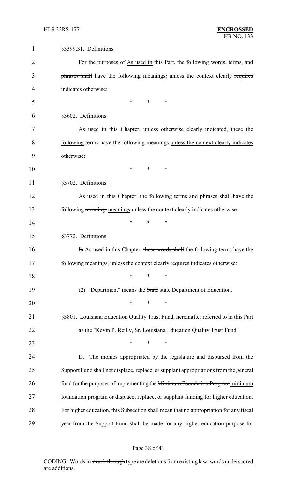| $\mathbf 1$ | §3399.31. Definitions                                                                 |
|-------------|---------------------------------------------------------------------------------------|
| 2           | For the purposes of As used in this Part, the following words, terms, and             |
| 3           | phrases shall have the following meanings, unless the context clearly requires        |
| 4           | indicates otherwise:                                                                  |
| 5           | $\ast$<br>*<br>$\ast$                                                                 |
| 6           | §3602. Definitions                                                                    |
| 7           | As used in this Chapter, unless otherwise clearly indicated, these the                |
| 8           | following terms have the following meanings unless the context clearly indicates      |
| 9           | otherwise:                                                                            |
| 10          | *<br>$\ast$<br>∗                                                                      |
| 11          | §3702. Definitions                                                                    |
| 12          | As used in this Chapter, the following terms and phrases shall have the               |
| 13          | following meaning, meanings unless the context clearly indicates otherwise:           |
| 14          | *<br>*<br>∗                                                                           |
| 15          | §3772. Definitions                                                                    |
| 16          | In As used in this Chapter, these words shall the following terms have the            |
| 17          | following meanings, unless the context clearly requires indicates otherwise:          |
| 18          | $\ast$<br>$\ast$<br>$\ast$                                                            |
| 19          | (2) "Department" means the State state Department of Education.                       |
| 20          | $\ast$<br>*<br>$\ast$                                                                 |
| 21          | §3801. Louisiana Education Quality Trust Fund, hereinafter referred to in this Part   |
| 22          | as the "Kevin P. Reilly, Sr. Louisiana Education Quality Trust Fund"                  |
| 23          | $\ast$<br>$\ast$<br>$\ast$                                                            |
| 24          | The monies appropriated by the legislature and disbursed from the<br>D.               |
| 25          | Support Fund shall not displace, replace, or supplant appropriations from the general |
| 26          | fund for the purposes of implementing the Minimum Foundation Program minimum          |
| 27          | foundation program or displace, replace, or supplant funding for higher education.    |
| 28          | For higher education, this Subsection shall mean that no appropriation for any fiscal |
| 29          | year from the Support Fund shall be made for any higher education purpose for         |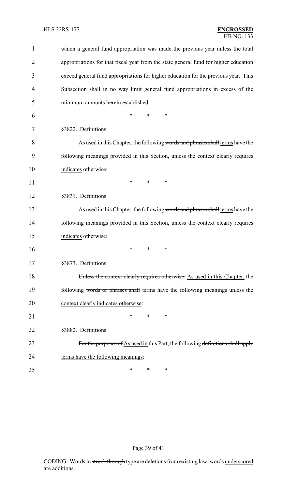| $\mathbf{1}$   | which a general fund appropriation was made the previous year unless the total       |
|----------------|--------------------------------------------------------------------------------------|
| $\overline{2}$ | appropriations for that fiscal year from the state general fund for higher education |
| 3              | exceed general fund appropriations for higher education for the previous year. This  |
| 4              | Subsection shall in no way limit general fund appropriations in excess of the        |
| 5              | minimum amounts herein established.                                                  |
| 6              | ∗<br>*<br>*                                                                          |
| 7              | §3822. Definitions                                                                   |
| 8              | As used in this Chapter, the following words and phrases shall terms have the        |
| 9              | following meanings provided in this Section, unless the context clearly requires     |
| 10             | indicates otherwise:                                                                 |
| 11             | ∗<br>∗<br>$\ast$                                                                     |
| 12             | §3831. Definitions                                                                   |
| 13             | As used in this Chapter, the following words and phrases shall terms have the        |
| 14             | following meanings provided in this Section, unless the context clearly requires     |
| 15             | indicates otherwise:                                                                 |
| 16             | ∗<br>*<br>∗                                                                          |
| 17             | §3873. Definitions                                                                   |
| 18             | Unless the context clearly requires otherwise, As used in this Chapter, the          |
| 19             | following words or phrases shall terms have the following meanings unless the        |
| 20             | context clearly indicates otherwise:                                                 |
| 21             | *<br>*<br>*                                                                          |
| 22             | §3882. Definitions.                                                                  |
| 23             | For the purposes of As used in this Part, the following definitions shall apply      |
| 24             | terms have the following meanings:                                                   |
| 25             | ∗<br>∗<br>∗                                                                          |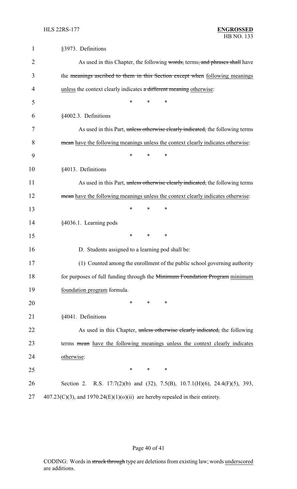| $\mathbf{1}$ | §3973. Definitions                                                                 |
|--------------|------------------------------------------------------------------------------------|
| 2            | As used in this Chapter, the following words, terms, and phrases shall have        |
| 3            | the meanings ascribed to them in this Section except when following meanings       |
| 4            | unless the context clearly indicates a different meaning otherwise:                |
| 5            | $\ast$<br>$\ast$<br>$\ast$                                                         |
| 6            | §4002.3. Definitions                                                               |
| 7            | As used in this Part, unless otherwise clearly indicated, the following terms      |
| 8            | mean have the following meanings unless the context clearly indicates otherwise:   |
| 9            | *<br>*<br>∗                                                                        |
| 10           | §4013. Definitions                                                                 |
| 11           | As used in this Part, unless otherwise clearly indicated, the following terms      |
| 12           | mean have the following meanings unless the context clearly indicates otherwise:   |
| 13           | *<br>$\ast$<br>*                                                                   |
| 14           | §4036.1. Learning pods                                                             |
| 15           | *<br>*<br>∗                                                                        |
| 16           | D. Students assigned to a learning pod shall be:                                   |
| 17           | (1) Counted among the enrollment of the public school governing authority          |
| 18           | for purposes of full funding through the Minimum Foundation Program minimum        |
| 19           | foundation program formula.                                                        |
| 20           | $\ast$<br>*<br>∗                                                                   |
| 21           | §4041. Definitions                                                                 |
| 22           | As used in this Chapter, unless otherwise clearly indicated, the following         |
| 23           | terms mean have the following meanings unless the context clearly indicates        |
| 24           | otherwise:                                                                         |
| 25           | $\ast$<br>$\ast$<br>∗                                                              |
| 26           | Section 2. R.S. 17:7(2)(b) and (32), 7.5(B), 10.7.1(H)(6), 24.4(F)(5), 393,        |
| 27           | $407.23(C)(3)$ , and $1970.24(E)(1)(0)(ii)$ are hereby repealed in their entirety. |

# Page 40 of 41